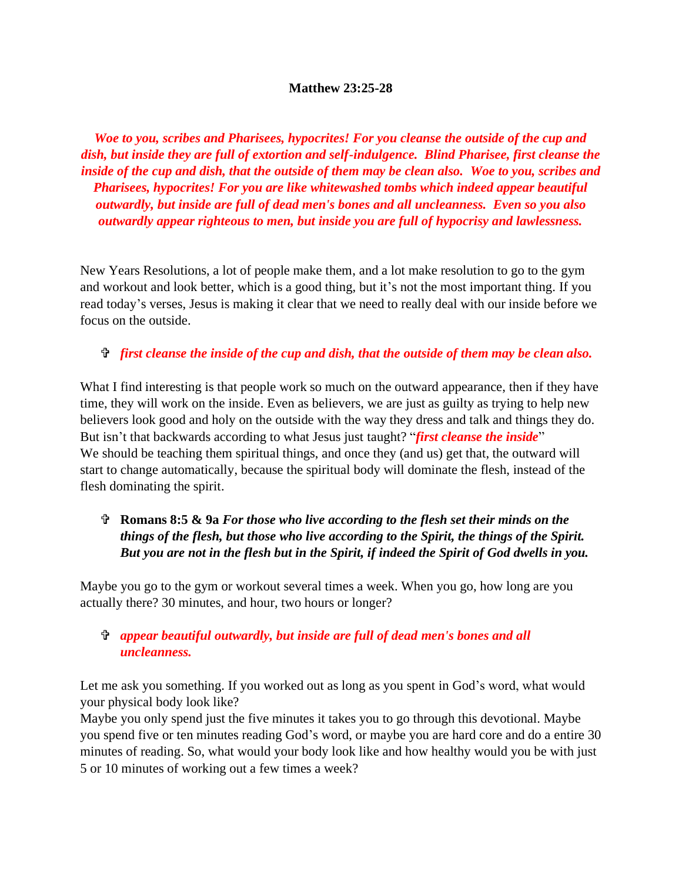#### **Matthew 23:25-28**

*Woe to you, scribes and Pharisees, hypocrites! For you cleanse the outside of the cup and dish, but inside they are full of extortion and self-indulgence. Blind Pharisee, first cleanse the inside of the cup and dish, that the outside of them may be clean also. Woe to you, scribes and Pharisees, hypocrites! For you are like whitewashed tombs which indeed appear beautiful outwardly, but inside are full of dead men's bones and all uncleanness. Even so you also outwardly appear righteous to men, but inside you are full of hypocrisy and lawlessness.*

New Years Resolutions, a lot of people make them, and a lot make resolution to go to the gym and workout and look better, which is a good thing, but it's not the most important thing. If you read today's verses, Jesus is making it clear that we need to really deal with our inside before we focus on the outside.

#### *first cleanse the inside of the cup and dish, that the outside of them may be clean also.*

What I find interesting is that people work so much on the outward appearance, then if they have time, they will work on the inside. Even as believers, we are just as guilty as trying to help new believers look good and holy on the outside with the way they dress and talk and things they do. But isn't that backwards according to what Jesus just taught? "*first cleanse the inside*" We should be teaching them spiritual things, and once they (and us) get that, the outward will start to change automatically, because the spiritual body will dominate the flesh, instead of the flesh dominating the spirit.

## **Romans 8:5 & 9a** *For those who live according to the flesh set their minds on the things of the flesh, but those who live according to the Spirit, the things of the Spirit. But you are not in the flesh but in the Spirit, if indeed the Spirit of God dwells in you.*

Maybe you go to the gym or workout several times a week. When you go, how long are you actually there? 30 minutes, and hour, two hours or longer?

### *appear beautiful outwardly, but inside are full of dead men's bones and all uncleanness.*

Let me ask you something. If you worked out as long as you spent in God's word, what would your physical body look like?

Maybe you only spend just the five minutes it takes you to go through this devotional. Maybe you spend five or ten minutes reading God's word, or maybe you are hard core and do a entire 30 minutes of reading. So, what would your body look like and how healthy would you be with just 5 or 10 minutes of working out a few times a week?